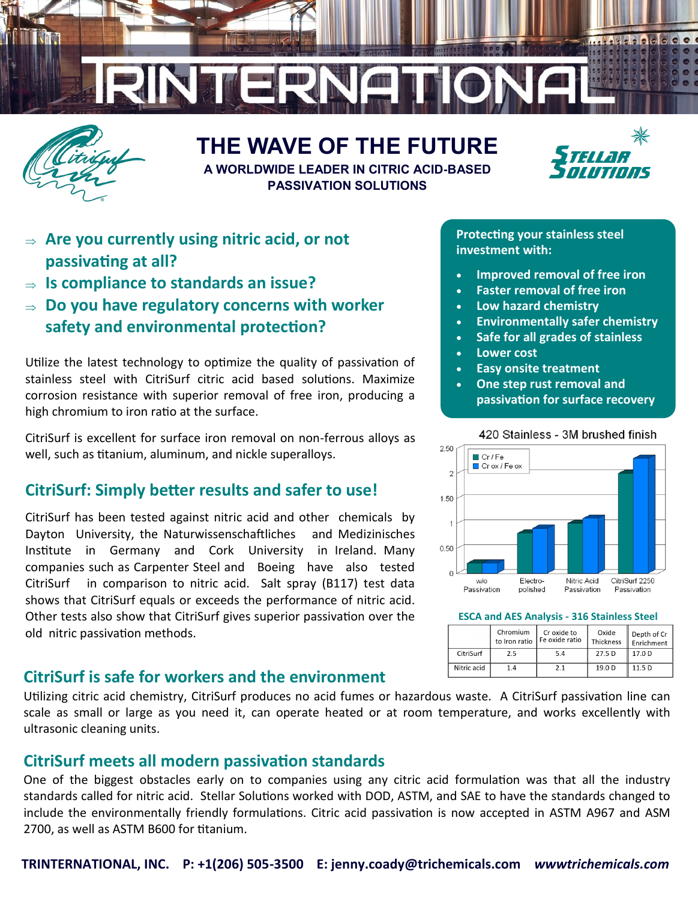

# **THE WAVE OF THE FUTURE**



**A WORLDWIDE LEADER IN CITRIC ACID-BASED PASSIVATION SOLUTIONS**

- **Are you currently using nitric acid, or not passivating at all?**
- **Is compliance to standards an issue?**
- **Do you have regulatory concerns with worker safety and environmental protection?**

Utilize the latest technology to optimize the quality of passivation of stainless steel with CitriSurf citric acid based solutions. Maximize corrosion resistance with superior removal of free iron, producing a high chromium to iron ratio at the surface.

CitriSurf is excellent for surface iron removal on non-ferrous alloys as well, such as titanium, aluminum, and nickle superalloys.

## **CitriSurf: Simply better results and safer to use!**

CitriSurf has been tested against nitric acid and other chemicals by Dayton University, the Naturwissenschaftliches and Medizinisches Institute in Germany and Cork University in Ireland. Many companies such as Carpenter Steel and Boeing have also tested CitriSurf in comparison to nitric acid. Salt spray (B117) test data shows that CitriSurf equals or exceeds the performance of nitric acid. Other tests also show that CitriSurf gives superior passivation over the old nitric passivation methods.

## **CitriSurf is safe for workers and the environment**

Utilizing citric acid chemistry, CitriSurf produces no acid fumes or hazardous waste. A CitriSurf passivation line can scale as small or large as you need it, can operate heated or at room temperature, and works excellently with ultrasonic cleaning units.

### **CitriSurf meets all modern passivation standards**

One of the biggest obstacles early on to companies using any citric acid formulation was that all the industry standards called for nitric acid. Stellar Solutions worked with DOD, ASTM, and SAE to have the standards changed to include the environmentally friendly formulations. Citric acid passivation is now accepted in ASTM A967 and ASM 2700, as well as ASTM B600 for titanium.

#### **Protecting your stainless steel investment with:**

- **Improved removal of free iron**
- **Faster removal of free iron**
- **Low hazard chemistry**
- **Environmentally safer chemistry**
- **Safe for all grades of stainless**
- **Lower cost**
- **Easy onsite treatment**
- **One step rust removal and passivation for surface recovery**



**ESCA and AES Analysis - 316 Stainless Steel** 

|             | Chromium<br>to Iron ratio | Cr oxide to<br>I Fe oxide ratio | Oxide<br>. Thickness | Depth of Cr<br>Enrichment |
|-------------|---------------------------|---------------------------------|----------------------|---------------------------|
| CitriSurf   | 2.5                       | 5.4                             | 27.5 D               | 17.0 <sub>D</sub>         |
| Nitric acid | 1.4                       | 21                              | 19.0 D               | 115D                      |